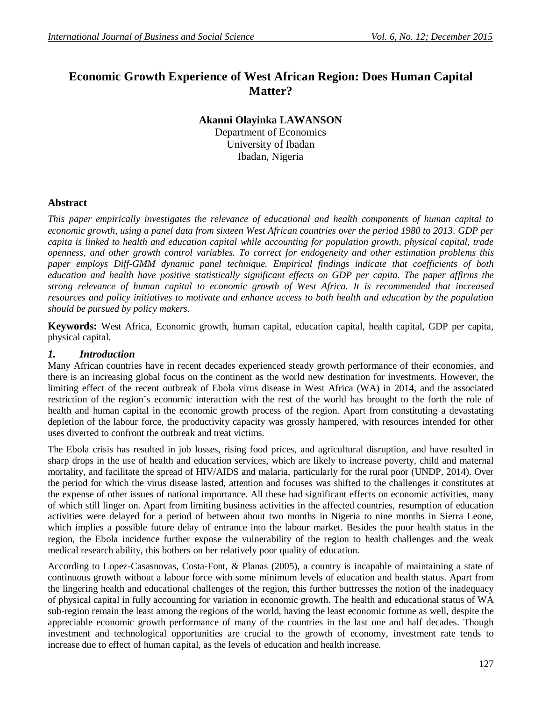# **Economic Growth Experience of West African Region: Does Human Capital Matter?**

**Akanni Olayinka LAWANSON**

Department of Economics University of Ibadan Ibadan, Nigeria

### **Abstract**

*This paper empirically investigates the relevance of educational and health components of human capital to economic growth, using a panel data from sixteen West African countries over the period 1980 to 2013. GDP per capita is linked to health and education capital while accounting for population growth, physical capital, trade openness, and other growth control variables. To correct for endogeneity and other estimation problems this paper employs Diff-GMM dynamic panel technique. Empirical findings indicate that coefficients of both*  education and health have positive statistically significant effects on GDP per capita. The paper affirms the *strong relevance of human capital to economic growth of West Africa. It is recommended that increased resources and policy initiatives to motivate and enhance access to both health and education by the population should be pursued by policy makers.*

**Keywords:** West Africa, Economic growth, human capital, education capital, health capital, GDP per capita, physical capital.

#### *1. Introduction*

Many African countries have in recent decades experienced steady growth performance of their economies, and there is an increasing global focus on the continent as the world new destination for investments. However, the limiting effect of the recent outbreak of Ebola virus disease in West Africa (WA) in 2014, and the associated restriction of the region's economic interaction with the rest of the world has brought to the forth the role of health and human capital in the economic growth process of the region. Apart from constituting a devastating depletion of the labour force, the productivity capacity was grossly hampered, with resources intended for other uses diverted to confront the outbreak and treat victims.

The Ebola crisis has resulted in job losses, rising food prices, and agricultural disruption, and have resulted in sharp drops in the use of health and education services, which are likely to increase poverty, child and maternal mortality, and facilitate the spread of HIV/AIDS and malaria, particularly for the rural poor (UNDP, 2014). Over the period for which the virus disease lasted, attention and focuses was shifted to the challenges it constitutes at the expense of other issues of national importance. All these had significant effects on economic activities, many of which still linger on. Apart from limiting business activities in the affected countries, resumption of education activities were delayed for a period of between about two months in Nigeria to nine months in Sierra Leone, which implies a possible future delay of entrance into the labour market. Besides the poor health status in the region, the Ebola incidence further expose the vulnerability of the region to health challenges and the weak medical research ability, this bothers on her relatively poor quality of education.

According to Lopez-Casasnovas, Costa-Font, & Planas (2005), a country is incapable of maintaining a state of continuous growth without a labour force with some minimum levels of education and health status. Apart from the lingering health and educational challenges of the region, this further buttresses the notion of the inadequacy of physical capital in fully accounting for variation in economic growth. The health and educational status of WA sub-region remain the least among the regions of the world, having the least economic fortune as well, despite the appreciable economic growth performance of many of the countries in the last one and half decades. Though investment and technological opportunities are crucial to the growth of economy, investment rate tends to increase due to effect of human capital, as the levels of education and health increase.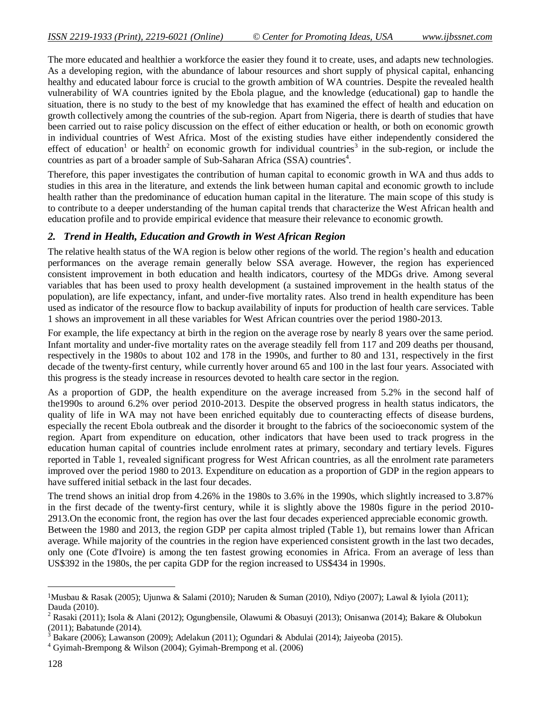The more educated and healthier a workforce the easier they found it to create, uses, and adapts new technologies. As a developing region, with the abundance of labour resources and short supply of physical capital, enhancing healthy and educated labour force is crucial to the growth ambition of WA countries. Despite the revealed health vulnerability of WA countries ignited by the Ebola plague, and the knowledge (educational) gap to handle the situation, there is no study to the best of my knowledge that has examined the effect of health and education on growth collectively among the countries of the sub-region. Apart from Nigeria, there is dearth of studies that have been carried out to raise policy discussion on the effect of either education or health, or both on economic growth in individual countries of West Africa. Most of the existing studies have either independently considered the effect of education<sup>1</sup> or health<sup>2</sup> on economic growth for individual countries<sup>3</sup> in the sub-region, or include the countries as part of a broader sample of Sub-Saharan Africa (SSA) countries<sup>4</sup>.

Therefore, this paper investigates the contribution of human capital to economic growth in WA and thus adds to studies in this area in the literature, and extends the link between human capital and economic growth to include health rather than the predominance of education human capital in the literature. The main scope of this study is to contribute to a deeper understanding of the human capital trends that characterize the West African health and education profile and to provide empirical evidence that measure their relevance to economic growth.

### *2. Trend in Health, Education and Growth in West African Region*

The relative health status of the WA region is below other regions of the world. The region's health and education performances on the average remain generally below SSA average. However, the region has experienced consistent improvement in both education and health indicators, courtesy of the MDGs drive. Among several variables that has been used to proxy health development (a sustained improvement in the health status of the population), are life expectancy, infant, and under-five mortality rates. Also trend in health expenditure has been used as indicator of the resource flow to backup availability of inputs for production of health care services. Table 1 shows an improvement in all these variables for West African countries over the period 1980-2013.

For example, the life expectancy at birth in the region on the average rose by nearly 8 years over the same period. Infant mortality and under-five mortality rates on the average steadily fell from 117 and 209 deaths per thousand, respectively in the 1980s to about 102 and 178 in the 1990s, and further to 80 and 131, respectively in the first decade of the twenty-first century, while currently hover around 65 and 100 in the last four years. Associated with this progress is the steady increase in resources devoted to health care sector in the region.

As a proportion of GDP, the health expenditure on the average increased from 5.2% in the second half of the1990s to around 6.2% over period 2010-2013. Despite the observed progress in health status indicators, the quality of life in WA may not have been enriched equitably due to counteracting effects of disease burdens, especially the recent Ebola outbreak and the disorder it brought to the fabrics of the socioeconomic system of the region. Apart from expenditure on education, other indicators that have been used to track progress in the education human capital of countries include enrolment rates at primary, secondary and tertiary levels. Figures reported in Table 1, revealed significant progress for West African countries, as all the enrolment rate parameters improved over the period 1980 to 2013. Expenditure on education as a proportion of GDP in the region appears to have suffered initial setback in the last four decades.

The trend shows an initial drop from 4.26% in the 1980s to 3.6% in the 1990s, which slightly increased to 3.87% in the first decade of the twenty-first century, while it is slightly above the 1980s figure in the period 2010- 2913.On the economic front, the region has over the last four decades experienced appreciable economic growth. Between the 1980 and 2013, the region GDP per capita almost tripled (Table 1), but remains lower than African average. While majority of the countries in the region have experienced consistent growth in the last two decades, only one (Cote d'Ivoire) is among the ten fastest growing economies in Africa. From an average of less than US\$392 in the 1980s, the per capita GDP for the region increased to US\$434 in 1990s.

l

<sup>1</sup>Musbau & Rasak (2005); Ujunwa & Salami (2010); Naruden & Suman (2010), Ndiyo (2007); Lawal & Iyiola (2011); Dauda (2010).

<sup>2</sup> Rasaki (2011); Isola & Alani (2012); Ogungbensile, Olawumi & Obasuyi (2013); Onisanwa (2014); Bakare & Olubokun (2011); Babatunde (2014).

<sup>&</sup>lt;sup>3</sup> Bakare (2006); Lawanson (2009); Adelakun (2011); Ogundari & Abdulai (2014); Jaiyeoba (2015).

 $4$  Gyimah-Brempong & Wilson (2004); Gyimah-Brempong et al. (2006)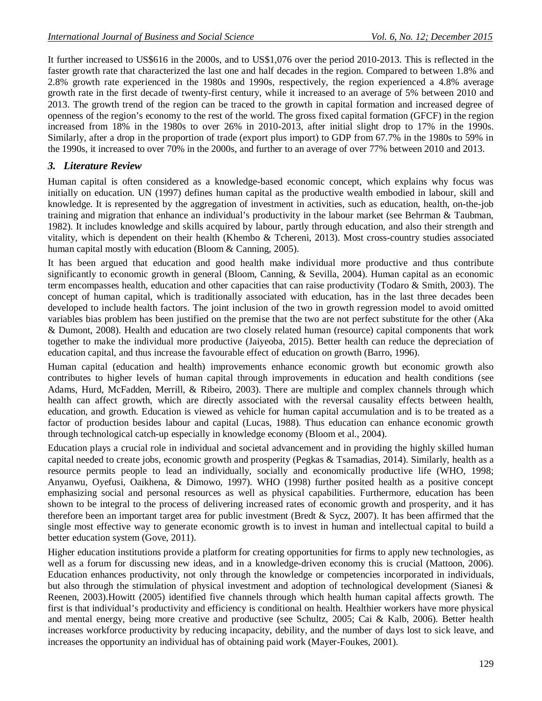It further increased to US\$616 in the 2000s, and to US\$1,076 over the period 2010-2013. This is reflected in the faster growth rate that characterized the last one and half decades in the region. Compared to between 1.8% and 2.8% growth rate experienced in the 1980s and 1990s, respectively, the region experienced a 4.8% average growth rate in the first decade of twenty-first century, while it increased to an average of 5% between 2010 and 2013. The growth trend of the region can be traced to the growth in capital formation and increased degree of openness of the region's economy to the rest of the world. The gross fixed capital formation (GFCF) in the region increased from 18% in the 1980s to over 26% in 2010-2013, after initial slight drop to 17% in the 1990s. Similarly, after a drop in the proportion of trade (export plus import) to GDP from 67.7% in the 1980s to 59% in the 1990s, it increased to over 70% in the 2000s, and further to an average of over 77% between 2010 and 2013.

## *3. Literature Review*

Human capital is often considered as a knowledge-based economic concept, which explains why focus was initially on education. UN (1997) defines human capital as the productive wealth embodied in labour, skill and knowledge. It is represented by the aggregation of investment in activities, such as education, health, on-the-job training and migration that enhance an individual's productivity in the labour market (see Behrman & Taubman, 1982). It includes knowledge and skills acquired by labour, partly through education, and also their strength and vitality, which is dependent on their health (Khembo & Tchereni, 2013). Most cross-country studies associated human capital mostly with education (Bloom & Canning, 2005).

It has been argued that education and good health make individual more productive and thus contribute significantly to economic growth in general (Bloom, Canning, & Sevilla, 2004). Human capital as an economic term encompasses health, education and other capacities that can raise productivity (Todaro & Smith, 2003). The concept of human capital, which is traditionally associated with education, has in the last three decades been developed to include health factors. The joint inclusion of the two in growth regression model to avoid omitted variables bias problem has been justified on the premise that the two are not perfect substitute for the other (Aka & Dumont, 2008). Health and education are two closely related human (resource) capital components that work together to make the individual more productive (Jaiyeoba, 2015). Better health can reduce the depreciation of education capital, and thus increase the favourable effect of education on growth (Barro, 1996).

Human capital (education and health) improvements enhance economic growth but economic growth also contributes to higher levels of human capital through improvements in education and health conditions (see Adams, Hurd, McFadden, Merrill, & Ribeiro, 2003). There are multiple and complex channels through which health can affect growth, which are directly associated with the reversal causality effects between health, education, and growth. Education is viewed as vehicle for human capital accumulation and is to be treated as a factor of production besides labour and capital (Lucas, 1988). Thus education can enhance economic growth through technological catch-up especially in knowledge economy (Bloom et al., 2004).

Education plays a crucial role in individual and societal advancement and in providing the highly skilled human capital needed to create jobs, economic growth and prosperity (Pegkas & Tsamadias, 2014). Similarly, health as a resource permits people to lead an individually, socially and economically productive life (WHO, 1998; Anyanwu, Oyefusi, Oaikhena, & Dimowo, 1997). WHO (1998) further posited health as a positive concept emphasizing social and personal resources as well as physical capabilities. Furthermore, education has been shown to be integral to the process of delivering increased rates of economic growth and prosperity, and it has therefore been an important target area for public investment (Bredt & Sycz, 2007). It has been affirmed that the single most effective way to generate economic growth is to invest in human and intellectual capital to build a better education system (Gove, 2011).

Higher education institutions provide a platform for creating opportunities for firms to apply new technologies, as well as a forum for discussing new ideas, and in a knowledge-driven economy this is crucial (Mattoon, 2006). Education enhances productivity, not only through the knowledge or competencies incorporated in individuals, but also through the stimulation of physical investment and adoption of technological development (Sianesi & Reenen, 2003).Howitt (2005) identified five channels through which health human capital affects growth. The first is that individual's productivity and efficiency is conditional on health. Healthier workers have more physical and mental energy, being more creative and productive (see Schultz, 2005; Cai & Kalb, 2006). Better health increases workforce productivity by reducing incapacity, debility, and the number of days lost to sick leave, and increases the opportunity an individual has of obtaining paid work (Mayer-Foukes, 2001).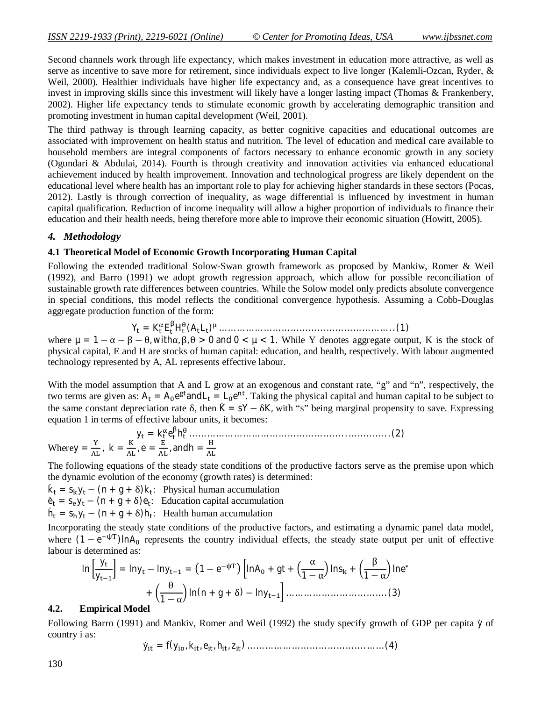Second channels work through life expectancy, which makes investment in education more attractive, as well as serve as incentive to save more for retirement, since individuals expect to live longer (Kalemli-Ozcan, Ryder, & Weil, 2000). Healthier individuals have higher life expectancy and, as a consequence have great incentives to invest in improving skills since this investment will likely have a longer lasting impact (Thomas & Frankenbery, 2002). Higher life expectancy tends to stimulate economic growth by accelerating demographic transition and promoting investment in human capital development (Weil, 2001).

The third pathway is through learning capacity, as better cognitive capacities and educational outcomes are associated with improvement on health status and nutrition. The level of education and medical care available to household members are integral components of factors necessary to enhance economic growth in any society (Ogundari & Abdulai, 2014). Fourth is through creativity and innovation activities via enhanced educational achievement induced by health improvement. Innovation and technological progress are likely dependent on the educational level where health has an important role to play for achieving higher standards in these sectors (Pocas, 2012). Lastly is through correction of inequality, as wage differential is influenced by investment in human capital qualification. Reduction of income inequality will allow a higher proportion of individuals to finance their education and their health needs, being therefore more able to improve their economic situation (Howitt, 2005).

#### *4. Methodology*

#### **4.1 Theoretical Model of Economic Growth Incorporating Human Capital**

Following the extended traditional Solow-Swan growth framework as proposed by Mankiw, Romer & Weil (1992), and Barro (1991) we adopt growth regression approach, which allow for possible reconciliation of sustainable growth rate differences between countries. While the Solow model only predicts absolute convergence in special conditions, this model reflects the conditional convergence hypothesis. Assuming a Cobb-Douglas aggregate production function of the form:

Y<sup>୲</sup> = K<sup>୲</sup> E୲ ஒ H୲ (A୲L୲) <sup>ஜ</sup> … … … … … … … … … … … … … … … … … … … . . (1)

where  $\mu = 1 - \alpha - \beta - \theta$ , with $\alpha, \beta, \theta > 0$  and  $0 < \mu < 1$ . While Y denotes aggregate output, K is the stock of physical capital, E and H are stocks of human capital: education, and health, respectively. With labour augmented technology represented by A, AL represents effective labour.

With the model assumption that A and L grow at an exogenous and constant rate, "g" and "n", respectively, the two terms are given as:  $A_t = A_0 e^{gt}$  and  $L_t = L_0 e^{nt}$ . Taking the physical capital and human capital to be subject to the same constant depreciation rate  $\delta$ , then K = sY −  $\delta$ K, with "s" being marginal propensity to save. Expressing equation 1 in terms of effective labour units, it becomes:

y<sup>୲</sup> = k<sup>୲</sup> e୲ ஒ h୲ … … … … … … … … … … … … … … … … … . . … … … … . . (2) Wherey = ଢ଼ , k = , e = , andh = ୌ 

The following equations of the steady state conditions of the productive factors serve as the premise upon which the dynamic evolution of the economy (growth rates) is determined:

- $\dot{k}_t = s_k y_t (n + g + \delta) k_t$ : Physical human accumulation
- $\dot{e}_t = s_e y_t (n + g + \delta) e_t$ : Education capital accumulation
- $\dot{h}_t = s_h y_t (n + g + \delta) h_t$ : Health human accumulation

Incorporating the steady state conditions of the productive factors, and estimating a dynamic panel data model, where  $(1 - e^{-\psi T})$ InA<sub>0</sub> represents the country individual effects, the steady state output per unit of effective labour is determined as:

$$
\ln\left[\frac{y_t}{y_{t-1}}\right] = \ln y_t - \ln y_{t-1} = \left(1 - e^{-\psi T}\right) \left[\ln A_0 + gt + \left(\frac{\alpha}{1 - \alpha}\right) \ln s_k + \left(\frac{\beta}{1 - \alpha}\right) \ln e^* + \left(\frac{\theta}{1 - \alpha}\right) \ln (n + g + \delta) - \ln y_{t-1}\right] \dots \dots \dots \dots \dots \dots \dots \dots \dots \dots \dots \tag{3}
$$

#### **4.2. Empirical Model**

Following Barro (1991) and Mankiv, Romer and Weil (1992) the study specify growth of GDP per capita  $\dot{y}$  of country i as:

$$
\dot{y}_{it} = f(y_{io}, k_{it}, e_{it}, h_{it}, z_{it}) \dots \dots \dots \dots \dots \dots \dots \dots \dots \dots \dots \dots \dots \dots \dots \dots \tag{4}
$$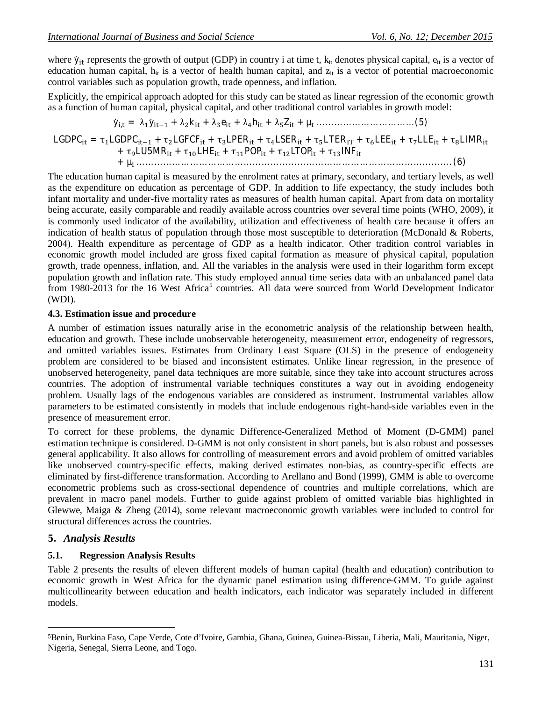where  $\dot{y}_{it}$  represents the growth of output (GDP) in country i at time t,  $k_{it}$  denotes physical capital,  $e_{it}$  is a vector of education human capital,  $h_{it}$  is a vector of health human capital, and  $z_{it}$  is a vector of potential macroeconomic control variables such as population growth, trade openness, and inflation.

Explicitly, the empirical approach adopted for this study can be stated as linear regression of the economic growth as a function of human capital, physical capital, and other traditional control variables in growth model:

$$
\dot{y}_{i,t} = \lambda_1 \dot{y}_{it-1} + \lambda_2 k_{it} + \lambda_3 e_{it} + \lambda_4 h_{it} + \lambda_5 Z_{it} + \mu_t \dots \dots \dots \dots \dots \dots \dots \dots \dots \tag{5}
$$

$$
LGDPC_{it} = \tau_1 LGDPC_{it-1} + \tau_2 LGFCF_{it} + \tau_3 LPER_{it} + \tau_4 LSER_{it} + \tau_5 LTER_{IT} + \tau_6 LEE_{it} + \tau_7 LLE_{it} + \tau_8 LIMR_{it}
$$
  
+ 
$$
\tau_9 LUSMR_{it} + \tau_{10} LHE_{it} + \tau_{11} POP_{it} + \tau_{12} LTOP_{it} + \tau_{13} INF_{it}
$$

+ µ<sup>୧</sup> … … … … … … … … … … … … … … … … … … … … … … … … … … … … … … … … … … … . (6)

The education human capital is measured by the enrolment rates at primary, secondary, and tertiary levels, as well as the expenditure on education as percentage of GDP. In addition to life expectancy, the study includes both infant mortality and under-five mortality rates as measures of health human capital. Apart from data on mortality being accurate, easily comparable and readily available across countries over several time points (WHO, 2009), it is commonly used indicator of the availability, utilization and effectiveness of health care because it offers an indication of health status of population through those most susceptible to deterioration (McDonald & Roberts, 2004). Health expenditure as percentage of GDP as a health indicator. Other tradition control variables in economic growth model included are gross fixed capital formation as measure of physical capital, population growth, trade openness, inflation, and. All the variables in the analysis were used in their logarithm form except population growth and inflation rate. This study employed annual time series data with an unbalanced panel data from 1980-2013 for the 16 West Africa<sup>5</sup> countries. All data were sourced from World Development Indicator (WDI).

#### **4.3. Estimation issue and procedure**

A number of estimation issues naturally arise in the econometric analysis of the relationship between health, education and growth. These include unobservable heterogeneity, measurement error, endogeneity of regressors, and omitted variables issues. Estimates from Ordinary Least Square (OLS) in the presence of endogeneity problem are considered to be biased and inconsistent estimates. Unlike linear regression, in the presence of unobserved heterogeneity, panel data techniques are more suitable, since they take into account structures across countries. The adoption of instrumental variable techniques constitutes a way out in avoiding endogeneity problem. Usually lags of the endogenous variables are considered as instrument. Instrumental variables allow parameters to be estimated consistently in models that include endogenous right-hand-side variables even in the presence of measurement error.

To correct for these problems, the dynamic Difference-Generalized Method of Moment (D-GMM) panel estimation technique is considered. D-GMM is not only consistent in short panels, but is also robust and possesses general applicability. It also allows for controlling of measurement errors and avoid problem of omitted variables like unobserved country-specific effects, making derived estimates non-bias, as country-specific effects are eliminated by first-difference transformation. According to Arellano and Bond (1999), GMM is able to overcome econometric problems such as cross-sectional dependence of countries and multiple correlations, which are prevalent in macro panel models. Further to guide against problem of omitted variable bias highlighted in Glewwe, Maiga & Zheng (2014), some relevant macroeconomic growth variables were included to control for structural differences across the countries.

### **5.** *Analysis Results*

 $\overline{a}$ 

### **5.1. Regression Analysis Results**

Table 2 presents the results of eleven different models of human capital (health and education) contribution to economic growth in West Africa for the dynamic panel estimation using difference-GMM. To guide against multicollinearity between education and health indicators, each indicator was separately included in different models.

<sup>5</sup>Benin, Burkina Faso, Cape Verde, Cote d'Ivoire, Gambia, Ghana, Guinea, Guinea-Bissau, Liberia, Mali, Mauritania, Niger, Nigeria, Senegal, Sierra Leone, and Togo.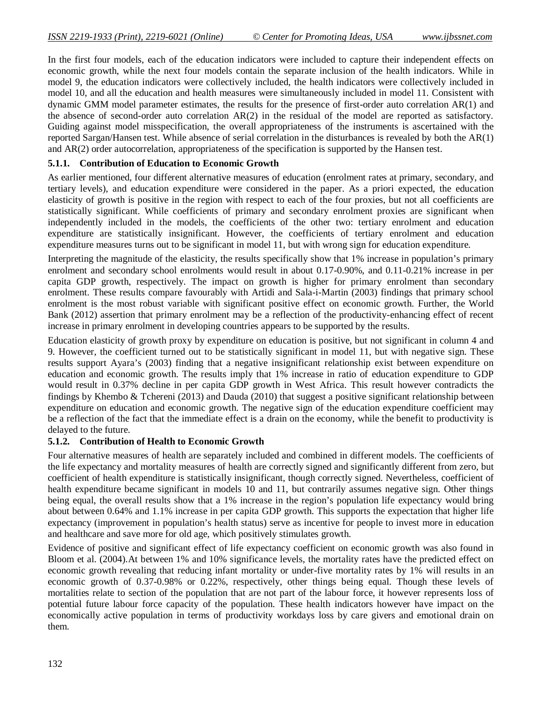In the first four models, each of the education indicators were included to capture their independent effects on economic growth, while the next four models contain the separate inclusion of the health indicators. While in model 9, the education indicators were collectively included, the health indicators were collectively included in model 10, and all the education and health measures were simultaneously included in model 11. Consistent with dynamic GMM model parameter estimates, the results for the presence of first-order auto correlation AR(1) and the absence of second-order auto correlation AR(2) in the residual of the model are reported as satisfactory. Guiding against model misspecification, the overall appropriateness of the instruments is ascertained with the reported Sargan/Hansen test. While absence of serial correlation in the disturbances is revealed by both the AR(1) and AR(2) order autocorrelation, appropriateness of the specification is supported by the Hansen test.

#### **5.1.1. Contribution of Education to Economic Growth**

As earlier mentioned, four different alternative measures of education (enrolment rates at primary, secondary, and tertiary levels), and education expenditure were considered in the paper. As a priori expected, the education elasticity of growth is positive in the region with respect to each of the four proxies, but not all coefficients are statistically significant. While coefficients of primary and secondary enrolment proxies are significant when independently included in the models, the coefficients of the other two: tertiary enrolment and education expenditure are statistically insignificant. However, the coefficients of tertiary enrolment and education expenditure measures turns out to be significant in model 11, but with wrong sign for education expenditure.

Interpreting the magnitude of the elasticity, the results specifically show that 1% increase in population's primary enrolment and secondary school enrolments would result in about 0.17-0.90%, and 0.11-0.21% increase in per capita GDP growth, respectively. The impact on growth is higher for primary enrolment than secondary enrolment. These results compare favourably with Artidi and Sala-i-Martin (2003) findings that primary school enrolment is the most robust variable with significant positive effect on economic growth. Further, the World Bank (2012) assertion that primary enrolment may be a reflection of the productivity-enhancing effect of recent increase in primary enrolment in developing countries appears to be supported by the results.

Education elasticity of growth proxy by expenditure on education is positive, but not significant in column 4 and 9. However, the coefficient turned out to be statistically significant in model 11, but with negative sign. These results support Ayara's (2003) finding that a negative insignificant relationship exist between expenditure on education and economic growth. The results imply that 1% increase in ratio of education expenditure to GDP would result in 0.37% decline in per capita GDP growth in West Africa. This result however contradicts the findings by Khembo & Tchereni (2013) and Dauda (2010) that suggest a positive significant relationship between expenditure on education and economic growth. The negative sign of the education expenditure coefficient may be a reflection of the fact that the immediate effect is a drain on the economy, while the benefit to productivity is delayed to the future.

### **5.1.2. Contribution of Health to Economic Growth**

Four alternative measures of health are separately included and combined in different models. The coefficients of the life expectancy and mortality measures of health are correctly signed and significantly different from zero, but coefficient of health expenditure is statistically insignificant, though correctly signed. Nevertheless, coefficient of health expenditure became significant in models 10 and 11, but contrarily assumes negative sign. Other things being equal, the overall results show that a 1% increase in the region's population life expectancy would bring about between 0.64% and 1.1% increase in per capita GDP growth. This supports the expectation that higher life expectancy (improvement in population's health status) serve as incentive for people to invest more in education and healthcare and save more for old age, which positively stimulates growth.

Evidence of positive and significant effect of life expectancy coefficient on economic growth was also found in Bloom et al. (2004).At between 1% and 10% significance levels, the mortality rates have the predicted effect on economic growth revealing that reducing infant mortality or under-five mortality rates by 1% will results in an economic growth of 0.37-0.98% or 0.22%, respectively, other things being equal. Though these levels of mortalities relate to section of the population that are not part of the labour force, it however represents loss of potential future labour force capacity of the population. These health indicators however have impact on the economically active population in terms of productivity workdays loss by care givers and emotional drain on them.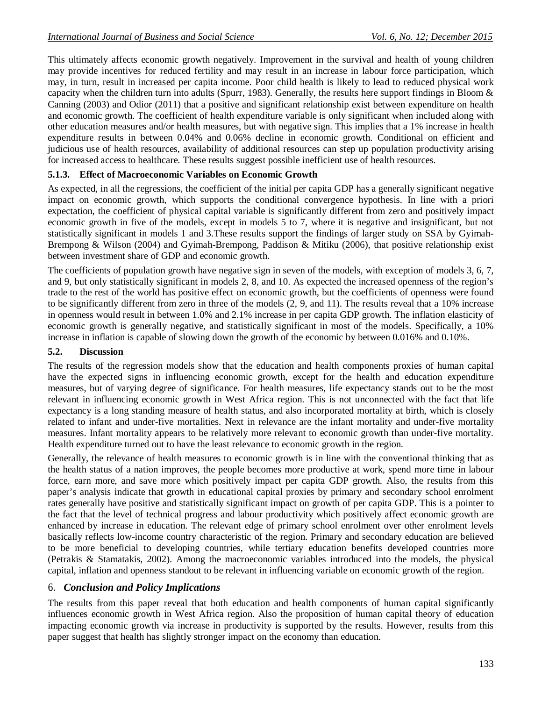This ultimately affects economic growth negatively. Improvement in the survival and health of young children may provide incentives for reduced fertility and may result in an increase in labour force participation, which may, in turn, result in increased per capita income. Poor child health is likely to lead to reduced physical work capacity when the children turn into adults (Spurr, 1983). Generally, the results here support findings in Bloom & Canning (2003) and Odior (2011) that a positive and significant relationship exist between expenditure on health and economic growth. The coefficient of health expenditure variable is only significant when included along with other education measures and/or health measures, but with negative sign. This implies that a 1% increase in health expenditure results in between 0.04% and 0.06% decline in economic growth. Conditional on efficient and judicious use of health resources, availability of additional resources can step up population productivity arising for increased access to healthcare. These results suggest possible inefficient use of health resources.

# **5.1.3. Effect of Macroeconomic Variables on Economic Growth**

As expected, in all the regressions, the coefficient of the initial per capita GDP has a generally significant negative impact on economic growth, which supports the conditional convergence hypothesis. In line with a priori expectation, the coefficient of physical capital variable is significantly different from zero and positively impact economic growth in five of the models, except in models 5 to 7, where it is negative and insignificant, but not statistically significant in models 1 and 3.These results support the findings of larger study on SSA by Gyimah-Brempong & Wilson (2004) and Gyimah-Brempong, Paddison & Mitiku (2006), that positive relationship exist between investment share of GDP and economic growth.

The coefficients of population growth have negative sign in seven of the models, with exception of models 3, 6, 7, and 9, but only statistically significant in models 2, 8, and 10. As expected the increased openness of the region's trade to the rest of the world has positive effect on economic growth, but the coefficients of openness were found to be significantly different from zero in three of the models (2, 9, and 11). The results reveal that a 10% increase in openness would result in between 1.0% and 2.1% increase in per capita GDP growth. The inflation elasticity of economic growth is generally negative, and statistically significant in most of the models. Specifically, a 10% increase in inflation is capable of slowing down the growth of the economic by between 0.016% and 0.10%.

### **5.2. Discussion**

The results of the regression models show that the education and health components proxies of human capital have the expected signs in influencing economic growth, except for the health and education expenditure measures, but of varying degree of significance. For health measures, life expectancy stands out to be the most relevant in influencing economic growth in West Africa region. This is not unconnected with the fact that life expectancy is a long standing measure of health status, and also incorporated mortality at birth, which is closely related to infant and under-five mortalities. Next in relevance are the infant mortality and under-five mortality measures. Infant mortality appears to be relatively more relevant to economic growth than under-five mortality. Health expenditure turned out to have the least relevance to economic growth in the region.

Generally, the relevance of health measures to economic growth is in line with the conventional thinking that as the health status of a nation improves, the people becomes more productive at work, spend more time in labour force, earn more, and save more which positively impact per capita GDP growth. Also, the results from this paper's analysis indicate that growth in educational capital proxies by primary and secondary school enrolment rates generally have positive and statistically significant impact on growth of per capita GDP. This is a pointer to the fact that the level of technical progress and labour productivity which positively affect economic growth are enhanced by increase in education. The relevant edge of primary school enrolment over other enrolment levels basically reflects low-income country characteristic of the region. Primary and secondary education are believed to be more beneficial to developing countries, while tertiary education benefits developed countries more (Petrakis & Stamatakis, 2002). Among the macroeconomic variables introduced into the models, the physical capital, inflation and openness standout to be relevant in influencing variable on economic growth of the region.

### 6. *Conclusion and Policy Implications*

The results from this paper reveal that both education and health components of human capital significantly influences economic growth in West Africa region. Also the proposition of human capital theory of education impacting economic growth via increase in productivity is supported by the results. However, results from this paper suggest that health has slightly stronger impact on the economy than education.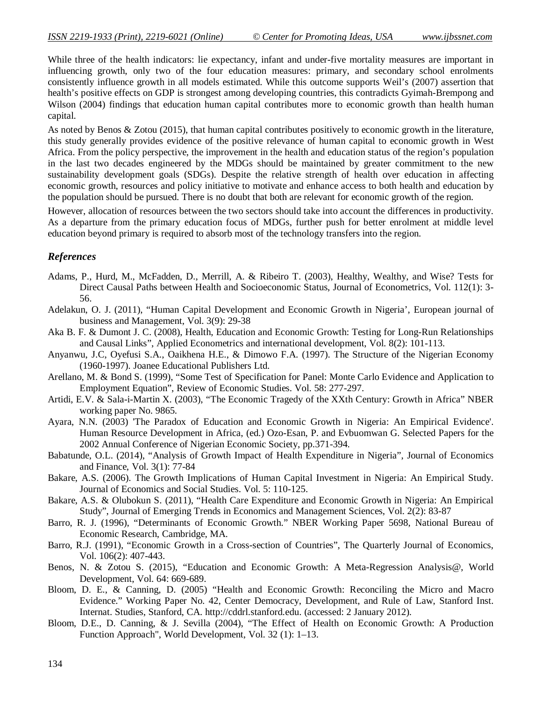While three of the health indicators: lie expectancy, infant and under-five mortality measures are important in influencing growth, only two of the four education measures: primary, and secondary school enrolments consistently influence growth in all models estimated. While this outcome supports Weil's (2007) assertion that health's positive effects on GDP is strongest among developing countries, this contradicts Gyimah-Brempong and Wilson (2004) findings that education human capital contributes more to economic growth than health human capital.

As noted by Benos & Zotou (2015), that human capital contributes positively to economic growth in the literature, this study generally provides evidence of the positive relevance of human capital to economic growth in West Africa. From the policy perspective, the improvement in the health and education status of the region's population in the last two decades engineered by the MDGs should be maintained by greater commitment to the new sustainability development goals (SDGs). Despite the relative strength of health over education in affecting economic growth, resources and policy initiative to motivate and enhance access to both health and education by the population should be pursued. There is no doubt that both are relevant for economic growth of the region.

However, allocation of resources between the two sectors should take into account the differences in productivity. As a departure from the primary education focus of MDGs, further push for better enrolment at middle level education beyond primary is required to absorb most of the technology transfers into the region.

### *References*

- Adams, P., Hurd, M., McFadden, D., Merrill, A. & Ribeiro T. (2003), Healthy, Wealthy, and Wise? Tests for Direct Causal Paths between Health and Socioeconomic Status, Journal of Econometrics, Vol. 112(1): 3- 56.
- Adelakun, O. J. (2011), "Human Capital Development and Economic Growth in Nigeria', European journal of business and Management, Vol. 3(9): 29-38
- Aka B. F. & Dumont J. C. (2008), Health, Education and Economic Growth: Testing for Long-Run Relationships and Causal Links", Applied Econometrics and international development, Vol. 8(2): 101-113.
- Anyanwu, J.C, Oyefusi S.A., Oaikhena H.E., & Dimowo F.A. (1997). The Structure of the Nigerian Economy (1960-1997). Joanee Educational Publishers Ltd.
- Arellano, M. & Bond S. (1999), "Some Test of Specification for Panel: Monte Carlo Evidence and Application to Employment Equation", Review of Economic Studies. Vol. 58: 277-297.
- Artidi, E.V. & Sala-i-Martin X. (2003), "The Economic Tragedy of the XXth Century: Growth in Africa" NBER working paper No. 9865.
- Ayara, N.N. (2003) 'The Paradox of Education and Economic Growth in Nigeria: An Empirical Evidence'. Human Resource Development in Africa, (ed.) Ozo-Esan, P. and Evbuomwan G. Selected Papers for the 2002 Annual Conference of Nigerian Economic Society, pp.371-394.
- Babatunde, O.L. (2014), "Analysis of Growth Impact of Health Expenditure in Nigeria", Journal of Economics and Finance, Vol. 3(1): 77-84
- Bakare, A.S. (2006). The Growth Implications of Human Capital Investment in Nigeria: An Empirical Study. Journal of Economics and Social Studies. Vol. 5: 110-125.
- Bakare, A.S. & Olubokun S. (2011), "Health Care Expenditure and Economic Growth in Nigeria: An Empirical Study", Journal of Emerging Trends in Economics and Management Sciences, Vol. 2(2): 83-87
- Barro, R. J. (1996), "Determinants of Economic Growth." NBER Working Paper 5698, National Bureau of Economic Research, Cambridge, MA.
- Barro, R.J. (1991), "Economic Growth in a Cross-section of Countries", The Quarterly Journal of Economics, Vol. 106(2): 407-443.
- Benos, N. & Zotou S. (2015), "Education and Economic Growth: A Meta-Regression Analysis@, World Development, Vol. 64: 669-689.
- Bloom, D. E., & Canning, D. (2005) "Health and Economic Growth: Reconciling the Micro and Macro Evidence." Working Paper No. 42, Center Democracy, Development, and Rule of Law, Stanford Inst. Internat. Studies, Stanford, CA. http://cddrl.stanford.edu. (accessed: 2 January 2012).
- Bloom, D.E., D. Canning, & J. Sevilla (2004), "The Effect of Health on Economic Growth: A Production Function Approach", World Development, Vol. 32 (1): 1–13.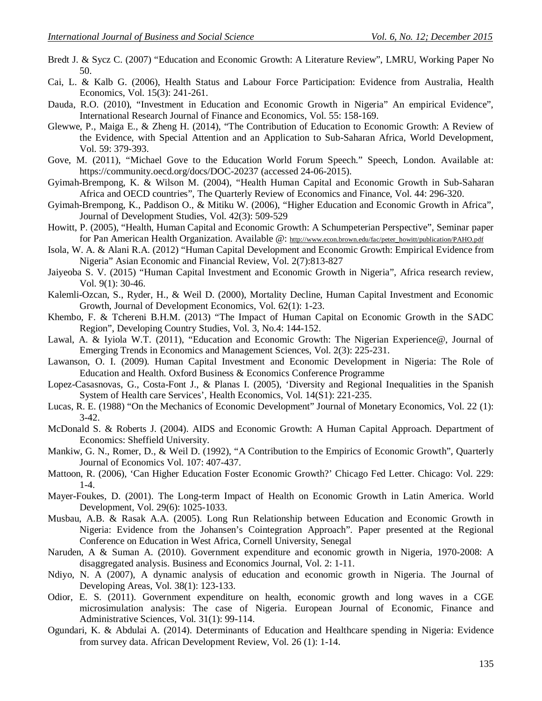- Bredt J. & Sycz C. (2007) "Education and Economic Growth: A Literature Review", LMRU, Working Paper No 50.
- Cai, L. & Kalb G. (2006), Health Status and Labour Force Participation: Evidence from Australia, Health Economics, Vol. 15(3): 241-261.
- Dauda, R.O. (2010), "Investment in Education and Economic Growth in Nigeria" An empirical Evidence", International Research Journal of Finance and Economics, Vol. 55: 158-169.
- Glewwe, P., Maiga E., & Zheng H. (2014), "The Contribution of Education to Economic Growth: A Review of the Evidence, with Special Attention and an Application to Sub-Saharan Africa, World Development, Vol. 59: 379-393.
- Gove, M. (2011), "Michael Gove to the Education World Forum Speech." Speech, London. Available at: https://community.oecd.org/docs/DOC-20237 (accessed 24-06-2015).
- Gyimah-Brempong, K. & Wilson M. (2004), "Health Human Capital and Economic Growth in Sub-Saharan Africa and OECD countries", The Quarterly Review of Economics and Finance, Vol. 44: 296-320.
- Gyimah-Brempong, K., Paddison O., & Mitiku W. (2006), "Higher Education and Economic Growth in Africa", Journal of Development Studies, Vol. 42(3): 509-529
- Howitt, P. (2005), "Health, Human Capital and Economic Growth: A Schumpeterian Perspective", Seminar paper for Pan American Health Organization. Available @: http://www.econ.brown.edu/fac/peter\_howitt/publication/PAHO.pdf
- Isola, W. A. & Alani R.A. (2012) "Human Capital Development and Economic Growth: Empirical Evidence from Nigeria" Asian Economic and Financial Review, Vol. 2(7):813-827
- Jaiyeoba S. V. (2015) "Human Capital Investment and Economic Growth in Nigeria", Africa research review, Vol. 9(1): 30-46.
- Kalemli-Ozcan, S., Ryder, H., & Weil D. (2000), Mortality Decline, Human Capital Investment and Economic Growth, Journal of Development Economics, Vol. 62(1): 1-23.
- Khembo, F. & Tchereni B.H.M. (2013) "The Impact of Human Capital on Economic Growth in the SADC Region", Developing Country Studies, Vol. 3, No.4: 144-152.
- Lawal, A. & Iyiola W.T. (2011), "Education and Economic Growth: The Nigerian Experience@, Journal of Emerging Trends in Economics and Management Sciences, Vol. 2(3): 225-231.
- Lawanson, O. I. (2009). Human Capital Investment and Economic Development in Nigeria: The Role of Education and Health. Oxford Business & Economics Conference Programme
- Lopez-Casasnovas, G., Costa-Font J., & Planas I. (2005), 'Diversity and Regional Inequalities in the Spanish System of Health care Services', Health Economics, Vol. 14(S1): 221-235.
- Lucas, R. E. (1988) "On the Mechanics of Economic Development" Journal of Monetary Economics, Vol. 22 (1): 3-42.
- McDonald S. & Roberts J. (2004). AIDS and Economic Growth: A Human Capital Approach. Department of Economics: Sheffield University.
- Mankiw, G. N., Romer, D., & Weil D. (1992), "A Contribution to the Empirics of Economic Growth", Quarterly Journal of Economics Vol. 107: 407-437.
- Mattoon, R. (2006), 'Can Higher Education Foster Economic Growth?' Chicago Fed Letter. Chicago: Vol. 229: 1-4.
- Mayer-Foukes, D. (2001). The Long-term Impact of Health on Economic Growth in Latin America. World Development, Vol. 29(6): 1025-1033.
- Musbau, A.B. & Rasak A.A. (2005). Long Run Relationship between Education and Economic Growth in Nigeria: Evidence from the Johansen's Cointegration Approach". Paper presented at the Regional Conference on Education in West Africa, Cornell University, Senegal
- Naruden, A & Suman A. (2010). Government expenditure and economic growth in Nigeria, 1970-2008: A disaggregated analysis. Business and Economics Journal, Vol. 2: 1-11.
- Ndiyo, N. A (2007), A dynamic analysis of education and economic growth in Nigeria. The Journal of Developing Areas, Vol. 38(1): 123-133.
- Odior, E. S. (2011). Government expenditure on health, economic growth and long waves in a CGE microsimulation analysis: The case of Nigeria. European Journal of Economic, Finance and Administrative Sciences, Vol. 31(1): 99-114.
- Ogundari, K. & Abdulai A. (2014). Determinants of Education and Healthcare spending in Nigeria: Evidence from survey data. African Development Review, Vol. 26 (1): 1-14.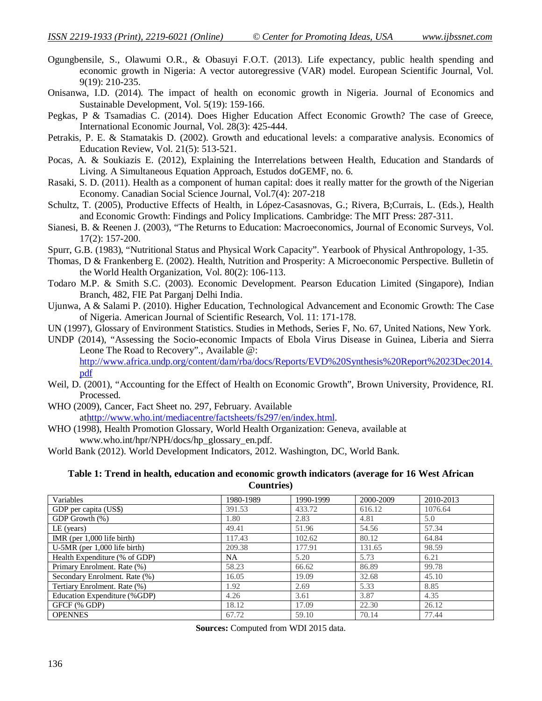- Ogungbensile, S., Olawumi O.R., & Obasuyi F.O.T. (2013). Life expectancy, public health spending and economic growth in Nigeria: A vector autoregressive (VAR) model. European Scientific Journal, Vol. 9(19): 210-235.
- Onisanwa, I.D. (2014). The impact of health on economic growth in Nigeria. Journal of Economics and Sustainable Development, Vol. 5(19): 159-166.
- Pegkas, P & Tsamadias C. (2014). Does Higher Education Affect Economic Growth? The case of Greece, International Economic Journal, Vol. 28(3): 425-444.
- Petrakis, P. E. & Stamatakis D. (2002). Growth and educational levels: a comparative analysis. Economics of Education Review, Vol. 21(5): 513-521.
- Pocas, A. & Soukiazis E. (2012), Explaining the Interrelations between Health, Education and Standards of Living. A Simultaneous Equation Approach, Estudos doGEMF, no. 6.
- Rasaki, S. D. (2011). Health as a component of human capital: does it really matter for the growth of the Nigerian Economy. Canadian Social Science Journal, Vol.7(4): 207-218
- Schultz, T. (2005), Productive Effects of Health, in López-Casasnovas, G.; Rivera, B;Currais, L. (Eds.), Health and Economic Growth: Findings and Policy Implications. Cambridge: The MIT Press: 287-311.
- Sianesi, B. & Reenen J. (2003), "The Returns to Education: Macroeconomics, Journal of Economic Surveys, Vol. 17(2): 157-200.
- Spurr, G.B. (1983), "Nutritional Status and Physical Work Capacity". Yearbook of Physical Anthropology, 1-35.
- Thomas, D & Frankenberg E. (2002). Health, Nutrition and Prosperity: A Microeconomic Perspective. Bulletin of the World Health Organization, Vol. 80(2): 106-113.
- Todaro M.P. & Smith S.C. (2003). Economic Development. Pearson Education Limited (Singapore), Indian Branch, 482, FIE Pat Parganj Delhi India.
- Ujunwa, A & Salami P. (2010). Higher Education, Technological Advancement and Economic Growth: The Case of Nigeria. American Journal of Scientific Research, Vol. 11: 171-178.

UN (1997), Glossary of Environment Statistics. Studies in Methods, Series F, No. 67, United Nations, New York.

UNDP (2014), "Assessing the Socio-economic Impacts of Ebola Virus Disease in Guinea, Liberia and Sierra Leone The Road to Recovery"., Available @:

http://www.africa.undp.org/content/dam/rba/docs/Reports/EVD%20Synthesis%20Report%2023Dec2014. pdf

- Weil, D. (2001), "Accounting for the Effect of Health on Economic Growth", Brown University, Providence, RI. Processed.
- WHO (2009), Cancer, Fact Sheet no. 297, February. Available athttp://www.who.int/mediacentre/factsheets/fs297/en/index.html.
- WHO (1998), Health Promotion Glossary, World Health Organization: Geneva, available at www.who.int/hpr/NPH/docs/hp\_glossary\_en.pdf.
- World Bank (2012). World Development Indicators, 2012. Washington, DC, World Bank.

#### **Table 1: Trend in health, education and economic growth indicators (average for 16 West African Countries)**

| Variables                      | 1980-1989 | 1990-1999 | 2000-2009 | 2010-2013 |
|--------------------------------|-----------|-----------|-----------|-----------|
| GDP per capita (US\$)          | 391.53    | 433.72    | 616.12    | 1076.64   |
| GDP Growth (%)                 | 1.80      | 2.83      | 4.81      | 5.0       |
| $LE$ (years)                   | 49.41     | 51.96     | 54.56     | 57.34     |
| IMR (per $1,000$ life birth)   | 117.43    | 102.62    | 80.12     | 64.84     |
| $U-5MR$ (per 1,000 life birth) | 209.38    | 177.91    | 131.65    | 98.59     |
| Health Expenditure (% of GDP)  | <b>NA</b> | 5.20      | 5.73      | 6.21      |
| Primary Enrolment. Rate (%)    | 58.23     | 66.62     | 86.89     | 99.78     |
| Secondary Enrolment. Rate (%)  | 16.05     | 19.09     | 32.68     | 45.10     |
| Tertiary Enrolment. Rate (%)   | 1.92      | 2.69      | 5.33      | 8.85      |
| Education Expenditure (%GDP)   | 4.26      | 3.61      | 3.87      | 4.35      |
| GFCF (% GDP)                   | 18.12     | 17.09     | 22.30     | 26.12     |
| <b>OPENNES</b>                 | 67.72     | 59.10     | 70.14     | 77.44     |

**Sources:** Computed from WDI 2015 data.